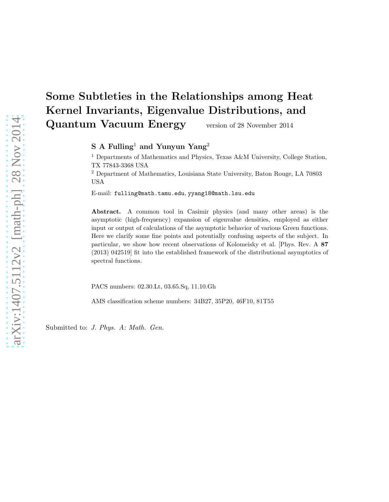# Some Subtleties in the Relationships among Heat Kernel Invariants, Eigenvalue Distributions, and Quantum Vacuum Energy version of 28 November 2014

S A Fulling<sup>1</sup> and Yunyun Yang<sup>2</sup>

<sup>1</sup> Departments of Mathematics and Physics, Texas A&M University, College Station, TX 77843-3368 USA

<sup>2</sup> Department of Mathematics, Louisiana State University, Baton Rouge, LA 70803 USA

E-mail: fulling@math.tamu.edu, yyang18@math.lsu.edu

Abstract. A common tool in Casimir physics (and many other areas) is the asymptotic (high-frequency) expansion of eigenvalue densities, employed as either input or output of calculations of the asymptotic behavior of various Green functions. Here we clarify some fine points and potentially confusing aspects of the subject. In particular, we show how recent observations of Kolomeisky et al. [Phys. Rev. A 87 (2013) 042519] fit into the established framework of the distributional asymptotics of spectral functions.

PACS numbers: 02.30.Lt, 03.65.Sq, 11.10.Gh

AMS classification scheme numbers: 34B27, 35P20, 46F10, 81T55

Submitted to: J. Phys. A: Math. Gen.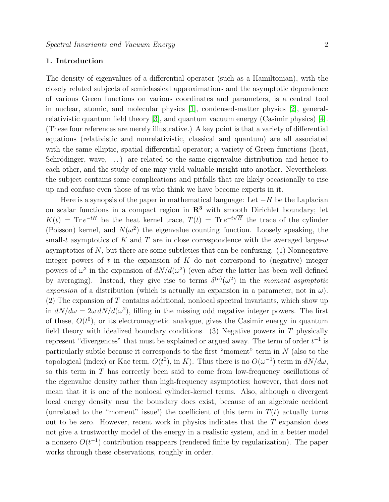# 1. Introduction

The density of eigenvalues of a differential operator (such as a Hamiltonian), with the closely related subjects of semiclassical approximations and the asymptotic dependence of various Green functions on various coordinates and parameters, is a central tool in nuclear, atomic, and molecular physics [\[1\]](#page-13-0), condensed-matter physics [\[2\]](#page-13-1), generalrelativistic quantum field theory [\[3\]](#page-13-2), and quantum vacuum energy (Casimir physics) [\[4\]](#page-13-3). (These four references are merely illustrative.) A key point is that a variety of differential equations (relativistic and nonrelativistic, classical and quantum) are all associated with the same elliptic, spatial differential operator; a variety of Green functions (heat, Schrödinger, wave,  $\dots$ ) are related to the same eigenvalue distribution and hence to each other, and the study of one may yield valuable insight into another. Nevertheless, the subject contains some complications and pitfalls that are likely occasionally to rise up and confuse even those of us who think we have become experts in it.

Here is a synopsis of the paper in mathematical language: Let  $-H$  be the Laplacian on scalar functions in a compact region in  $\mathbb{R}^3$  with smooth Dirichlet boundary; let  $K(t) = \text{Tr } e^{-tH}$  be the heat kernel trace,  $T(t) = \text{Tr } e^{-t\sqrt{H}}$  the trace of the cylinder (Poisson) kernel, and  $N(\omega^2)$  the eigenvalue counting function. Loosely speaking, the small-t asymptotics of K and T are in close correspondence with the averaged large- $\omega$ asymptotics of  $N$ , but there are some subtleties that can be confusing. (1) Nonnegative integer powers of t in the expansion of  $K$  do not correspond to (negative) integer powers of  $\omega^2$  in the expansion of  $dN/d(\omega^2)$  (even after the latter has been well defined by averaging). Instead, they give rise to terms  $\delta^{(n)}(\omega^2)$  in the moment asymptotic expansion of a distribution (which is actually an expansion in a parameter, not in  $\omega$ ).  $(2)$  The expansion of T contains additional, nonlocal spectral invariants, which show up in  $dN/d\omega = 2\omega dN/d(\omega^2)$ , filling in the missing odd negative integer powers. The first of these,  $O(t^0)$ , or its electromagnetic analogue, gives the Casimir energy in quantum field theory with idealized boundary conditions. (3) Negative powers in  $T$  physically represent "divergences" that must be explained or argued away. The term of order  $t^{-1}$  is particularly subtle because it corresponds to the first "moment" term in  $N$  (also to the topological (index) or Kac term,  $O(t^0)$ , in K). Thus there is no  $O(\omega^{-1})$  term in  $dN/d\omega$ , so this term in T has correctly been said to come from low-frequency oscillations of the eigenvalue density rather than high-frequency asymptotics; however, that does not mean that it is one of the nonlocal cylinder-kernel terms. Also, although a divergent local energy density near the boundary does exist, because of an algebraic accident (unrelated to the "moment" issue!) the coefficient of this term in  $T(t)$  actually turns out to be zero. However, recent work in physics indicates that the  $T$  expansion does not give a trustworthy model of the energy in a realistic system, and in a better model a nonzero  $O(t^{-1})$  contribution reappears (rendered finite by regularization). The paper works through these observations, roughly in order.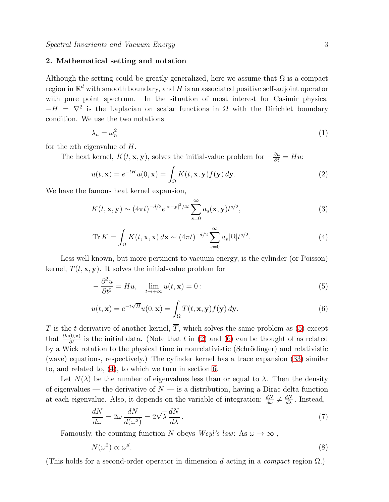#### 2. Mathematical setting and notation

Although the setting could be greatly generalized, here we assume that  $\Omega$  is a compact region in  $\mathbb{R}^d$  with smooth boundary, and H is an associated positive self-adjoint operator with pure point spectrum. In the situation of most interest for Casimir physics,  $-H = \nabla^2$  is the Laplacian on scalar functions in  $\Omega$  with the Dirichlet boundary condition. We use the two notations

$$
\lambda_n = \omega_n^2 \tag{1}
$$

for the nth eigenvalue of H.

The heat kernel,  $K(t, \mathbf{x}, \mathbf{y})$ , solves the initial-value problem for  $-\frac{\partial u}{\partial t} = Hu$ :

<span id="page-2-1"></span>
$$
u(t, \mathbf{x}) = e^{-tH}u(0, \mathbf{x}) = \int_{\Omega} K(t, \mathbf{x}, \mathbf{y}) f(\mathbf{y}) d\mathbf{y}.
$$
 (2)

We have the famous heat kernel expansion,

$$
K(t, \mathbf{x}, \mathbf{y}) \sim (4\pi t)^{-d/2} e^{|\mathbf{x} - \mathbf{y}|^2/4t} \sum_{s=0}^{\infty} a_s(\mathbf{x}, \mathbf{y}) t^{s/2},
$$
\n(3)

<span id="page-2-3"></span>
$$
\text{Tr}\,K = \int_{\Omega} K(t, \mathbf{x}, \mathbf{x}) \, d\mathbf{x} \sim (4\pi t)^{-d/2} \sum_{s=0}^{\infty} a_s [\Omega] t^{s/2}.
$$
 (4)

Less well known, but more pertinent to vacuum energy, is the cylinder (or Poisson) kernel,  $T(t, \mathbf{x}, \mathbf{y})$ . It solves the initial-value problem for

<span id="page-2-0"></span>
$$
-\frac{\partial^2 u}{\partial t^2} = Hu, \quad \lim_{t \to +\infty} u(t, \mathbf{x}) = 0:
$$
\n(5)

<span id="page-2-2"></span>
$$
u(t, \mathbf{x}) = e^{-t\sqrt{H}} u(0, \mathbf{x}) = \int_{\Omega} T(t, \mathbf{x}, \mathbf{y}) f(\mathbf{y}) d\mathbf{y}.
$$
 (6)

T is the t-derivative of another kernel,  $\overline{T}$ , which solves the same problem as [\(5\)](#page-2-0) except that  $\frac{\partial u(0,\mathbf{x})}{\partial t}$  is the initial data. (Note that t in [\(2\)](#page-2-1) and [\(6\)](#page-2-2) can be thought of as related by a Wick rotation to the physical time in nonrelativistic (Schrödinger) and relativistic (wave) equations, respectively.) The cylinder kernel has a trace expansion [\(33\)](#page-9-0) similar to, and related to, [\(4\)](#page-2-3), to which we turn in section [6.](#page-9-1)

Let  $N(\lambda)$  be the number of eigenvalues less than or equal to  $\lambda$ . Then the density of eigenvalues — the derivative of  $N$  — is a distribution, having a Dirac delta function at each eigenvalue. Also, it depends on the variable of integration:  $\frac{dN}{d\omega} \neq \frac{dN}{d\lambda}$ . Instead,

$$
\frac{dN}{d\omega} = 2\omega \frac{dN}{d(\omega^2)} = 2\sqrt{\lambda} \frac{dN}{d\lambda}.
$$
\n(7)

Famously, the counting function N obeys Weyl's law: As  $\omega \to \infty$ ,

<span id="page-2-4"></span>
$$
N(\omega^2) \propto \omega^d. \tag{8}
$$

(This holds for a second-order operator in dimension d acting in a *compact* region  $\Omega$ .)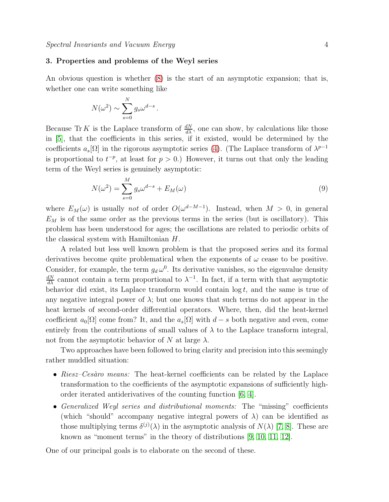# 3. Properties and problems of the Weyl series

An obvious question is whether [\(8\)](#page-2-4) is the start of an asymptotic expansion; that is, whether one can write something like

$$
N(\omega^2) \sim \sum_{s=0}^{N} g_s \omega^{d-s}
$$

.

Because Tr K is the Laplace transform of  $\frac{dN}{d\lambda}$ , one can show, by calculations like those in [\[5\]](#page-13-4), that the coefficients in this series, if it existed, would be determined by the coefficients  $a_s[\Omega]$  in the rigorous asymptotic series [\(4\)](#page-2-3). (The Laplace transform of  $\lambda^{p-1}$ is proportional to  $t^{-p}$ , at least for  $p > 0$ .) However, it turns out that only the leading term of the Weyl series is genuinely asymptotic:

<span id="page-3-0"></span>
$$
N(\omega^2) = \sum_{s=0}^{M} g_s \omega^{d-s} + E_M(\omega)
$$
\n(9)

where  $E_M(\omega)$  is usually not of order  $O(\omega^{d-M-1})$ . Instead, when  $M > 0$ , in general  $E_M$  is of the same order as the previous terms in the series (but is oscillatory). This problem has been understood for ages; the oscillations are related to periodic orbits of the classical system with Hamiltonian H.

A related but less well known problem is that the proposed series and its formal derivatives become quite problematical when the exponents of  $\omega$  cease to be positive. Consider, for example, the term  $g_d \omega^0$ . Its derivative vanishes, so the eigenvalue density  $\frac{dN}{d\lambda}$  cannot contain a term proportional to  $\lambda^{-1}$ . In fact, if a term with that asymptotic behavior did exist, its Laplace transform would contain  $\log t$ , and the same is true of any negative integral power of  $\lambda$ ; but one knows that such terms do not appear in the heat kernels of second-order differential operators. Where, then, did the heat-kernel coefficient  $a_0[\Omega]$  come from? It, and the  $a_s[\Omega]$  with  $d-s$  both negative and even, come entirely from the contributions of small values of  $\lambda$  to the Laplace transform integral, not from the asymptotic behavior of N at large  $\lambda$ .

Two approaches have been followed to bring clarity and precision into this seemingly rather muddled situation:

- $Riesz-Cesàro means:$  The heat-kernel coefficients can be related by the Laplace transformation to the coefficients of the asymptotic expansions of sufficiently highorder iterated antiderivatives of the counting function [\[6,](#page-13-5) [4\]](#page-13-3).
- Generalized Weyl series and distributional moments: The "missing" coefficients (which "should" accompany negative integral powers of  $\lambda$ ) can be identified as those multiplying terms  $\delta^{(j)}(\lambda)$  in the asymptotic analysis of  $N(\lambda)$  [\[7,](#page-13-6) [8\]](#page-13-7). These are known as "moment terms" in the theory of distributions [\[9,](#page-13-8) [10,](#page-13-9) [11,](#page-13-10) [12\]](#page-13-11).

One of our principal goals is to elaborate on the second of these.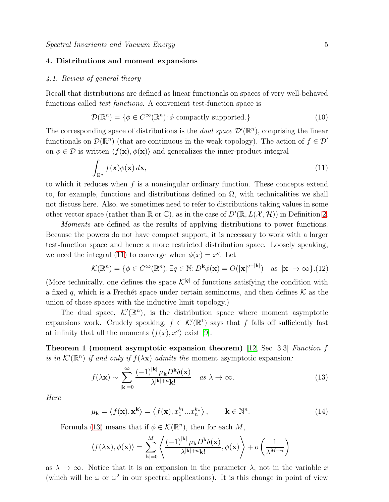# 4. Distributions and moment expansions

#### 4.1. Review of general theory

Recall that distributions are defined as linear functionals on spaces of very well-behaved functions called *test functions*. A convenient test-function space is

$$
\mathcal{D}(\mathbb{R}^n) = \{ \phi \in C^{\infty}(\mathbb{R}^n) : \phi \text{ compactly supported.} \}
$$
\n(10)

The corresponding space of distributions is the *dual space*  $\mathcal{D}'(\mathbb{R}^n)$ , conprising the linear functionals on  $\mathcal{D}(\mathbb{R}^n)$  (that are continuous in the weak topology). The action of  $f \in \mathcal{D}'$ on  $\phi \in \mathcal{D}$  is written  $\langle f(\mathbf{x}), \phi(\mathbf{x})\rangle$  and generalizes the inner-product integral

<span id="page-4-0"></span>
$$
\int_{\mathbb{R}^n} f(\mathbf{x}) \phi(\mathbf{x}) \, d\mathbf{x},\tag{11}
$$

to which it reduces when  $f$  is a nonsingular ordinary function. These concepts extend to, for example, functions and distributions defined on  $\Omega$ , with technicalities we shall not discuss here. Also, we sometimes need to refer to distributions taking values in some other vector space (rather than  $\mathbb R$  or  $\mathbb C$ ), as in the case of  $D'(\mathbb R,L(\mathcal X,\mathcal H))$  in Definition [2.](#page-5-0)

Moments are defined as the results of applying distributions to power functions. Because the powers do not have compact support, it is necessary to work with a larger test-function space and hence a more restricted distribution space. Loosely speaking, we need the integral [\(11\)](#page-4-0) to converge when  $\phi(x) = x^q$ . Let

$$
\mathcal{K}(\mathbb{R}^n) = \{ \phi \in C^{\infty}(\mathbb{R}^n) : \exists q \in \mathbb{N} : D^{\mathbf{k}} \phi(\mathbf{x}) = O(|\mathbf{x}|^{q-|\mathbf{k}|}) \text{ as } |\mathbf{x}| \to \infty \}. (12)
$$

(More technically, one defines the space  $\mathcal{K}^{[q]}$  of functions satisfying the condition with a fixed q, which is a Frechet space under certain seminorms, and then defines  $K$  as the union of those spaces with the inductive limit topology.)

The dual space,  $\mathcal{K}'(\mathbb{R}^n)$ , is the distribution space where moment asymptotic expansions work. Crudely speaking,  $f \in \mathcal{K}'(\mathbb{R}^1)$  says that f falls off sufficiently fast at infinity that all the moments  $\langle f(x), x^q \rangle$  exist [\[9\]](#page-13-8).

Theorem 1 (moment asymptotic expansion theorem) [\[12,](#page-13-11) Sec. 3.3] Function f is in  $\mathcal{K}'(\mathbb{R}^n)$  if and only if  $f(\lambda \mathbf{x})$  admits the moment asymptotic expansion:

<span id="page-4-1"></span>
$$
f(\lambda \mathbf{x}) \sim \sum_{|\mathbf{k}|=0}^{\infty} \frac{(-1)^{|\mathbf{k}|} \mu_{\mathbf{k}} D^{\mathbf{k}} \delta(\mathbf{x})}{\lambda^{|\mathbf{k}|+n} \mathbf{k}!} \quad \text{as } \lambda \to \infty.
$$
 (13)

Here

$$
\mu_{\mathbf{k}} = \langle f(\mathbf{x}), \mathbf{x}^{\mathbf{k}} \rangle = \langle f(\mathbf{x}), x_1^{k_1} ... x_n^{k_n} \rangle, \qquad \mathbf{k} \in \mathbb{N}^n.
$$
 (14)

Formula [\(13\)](#page-4-1) means that if  $\phi \in \mathcal{K}(\mathbb{R}^n)$ , then for each  $M$ ,

$$
\langle f(\lambda \mathbf{x}), \phi(\mathbf{x}) \rangle = \sum_{|\mathbf{k}|=0}^{M} \left\langle \frac{(-1)^{|\mathbf{k}|} \mu_{\mathbf{k}} D^{\mathbf{k}} \delta(\mathbf{x})}{\lambda^{|\mathbf{k}|+n} \mathbf{k}!}, \phi(\mathbf{x}) \right\rangle + o\left(\frac{1}{\lambda^{M+n}}\right)
$$

as  $\lambda \to \infty$ . Notice that it is an expansion in the parameter  $\lambda$ , not in the variable x (which will be  $\omega$  or  $\omega^2$  in our spectral applications). It is this change in point of view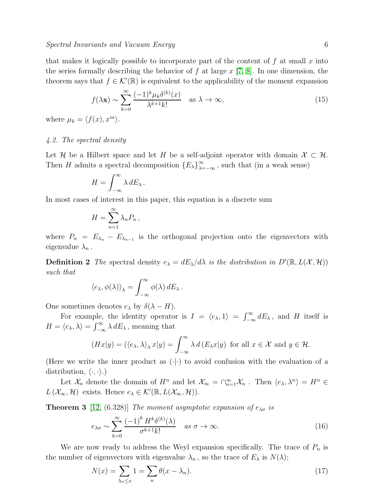$$
f(\lambda \mathbf{x}) \sim \sum_{k=0}^{\infty} \frac{(-1)^k \mu_k \delta^{(k)}(x)}{\lambda^{k+1} k!} \quad \text{as } \lambda \to \infty,
$$
 (15)

where  $\mu_k = \langle f(x), x^m \rangle$ .

# 4.2. The spectral density

Let H be a Hilbert space and let H be a self-adjoint operator with domain  $\mathcal{X} \subset \mathcal{H}$ . Then H admits a spectral decomposition  ${E_\lambda}_{\lambda=-\infty}^{\infty}$ , such that (in a weak sense)

$$
H = \int_{-\infty}^{\infty} \lambda \, dE_{\lambda} \, .
$$

In most cases of interest in this paper, this equation is a discrete sum

$$
H=\sum_{n=1}^{\infty}\lambda_n P_n,
$$

<span id="page-5-0"></span>where  $P_n = E_{\lambda_n} - E_{\lambda_{n-1}}$  is the orthogonal projection onto the eigenvectors with eigenvalue  $\lambda_n$ .

**Definition 2** The spectral density  $e_{\lambda} = dE_{\lambda}/d\lambda$  is the distribution in  $D'(\mathbb{R}, L(\mathcal{X}, \mathcal{H}))$ such that

$$
\langle e_{\lambda}, \phi(\lambda) \rangle_{\lambda} = \int_{-\infty}^{\infty} \phi(\lambda) \, dE_{\lambda} \, .
$$

One sometimes denotes  $e_{\lambda}$  by  $\delta(\lambda - H)$ .

For example, the identity operator is  $I = \langle e_\lambda, 1 \rangle = \int_{-\infty}^{\infty} dE_\lambda$ , and H itself is  $H = \langle e_{\lambda}, \lambda \rangle = \int_{-\infty}^{\infty} \lambda \, dE_{\lambda}$ , meaning that

$$
(Hx|y) = (\langle e_\lambda, \lambda \rangle_\lambda x|y) = \int_{-\infty}^{\infty} \lambda d(E_\lambda x|y) \text{ for all } x \in \mathcal{X} \text{ and } y \in \mathcal{H}.
$$

(Here we write the inner product as  $(\cdot | \cdot)$  to avoid confusion with the evaluation of a distribution,  $\langle \cdot, \cdot \rangle$ .)

Let  $\mathcal{X}_n$  denote the domain of  $H^n$  and let  $\mathcal{X}_\infty = \bigcap_{n=1}^\infty \mathcal{X}_n$ . Then  $\langle e_\lambda, \lambda^n \rangle = H^n \in$  $L(\mathcal{X}_{\infty}, \mathcal{H})$  exists. Hence  $e_{\lambda} \in \mathcal{K}'(\mathbb{R}, L(\mathcal{X}_{\infty}, \mathcal{H}))$ .

**Theorem 3** [\[12,](#page-13-11) (6.328)] The moment asymptotic expansion of  $e_{\lambda\sigma}$  is

<span id="page-5-1"></span>
$$
e_{\lambda\sigma} \sim \sum_{k=0}^{\infty} \frac{(-1)^k H^k \delta^{(k)}(\lambda)}{\sigma^{k+1} k!} \quad \text{as } \sigma \to \infty.
$$
 (16)

We are now ready to address the Weyl expansion specifically. The trace of  $P_n$  is the number of eigenvectors with eigenvalue  $\lambda_n$ , so the trace of  $E_\lambda$  is  $N(\lambda)$ ;

$$
N(x) = \sum_{\lambda_n \le x} 1 = \sum_n \theta(x - \lambda_n). \tag{17}
$$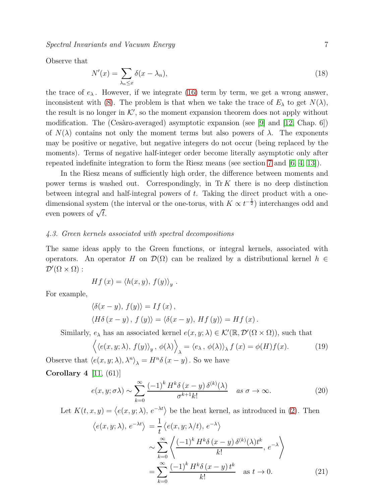Spectral Invariants and Vacuum Energy 7

Observe that

$$
N'(x) = \sum_{\lambda_n \le x} \delta(x - \lambda_n),\tag{18}
$$

the trace of  $e_{\lambda}$ . However, if we integrate [\(16\)](#page-5-1) term by term, we get a wrong answer, inconsistent with [\(8\)](#page-2-4). The problem is that when we take the trace of  $E_{\lambda}$  to get  $N(\lambda)$ , the result is no longer in  $K'$ , so the moment expansion theorem does not apply without modification. The (Cesàro-averaged) asymptotic expansion (see [\[9\]](#page-13-8) and [\[12,](#page-13-11) Chap. 6]) of  $N(\lambda)$  contains not only the moment terms but also powers of  $\lambda$ . The exponents may be positive or negative, but negative integers do not occur (being replaced by the moments). Terms of negative half-integer order become literally asymptotic only after repeated indefinite integration to form the Riesz means (see section [7](#page-10-0) and [\[6,](#page-13-5) [4,](#page-13-3) [13\]](#page-13-12)).

In the Riesz means of sufficiently high order, the difference between moments and power terms is washed out. Correspondingly, in  $\text{Tr } K$  there is no deep distinction between integral and half-integral powers of  $t$ . Taking the direct product with a onedimensional system (the interval or the one-torus, with  $K \propto t^{-\frac{1}{2}}$ ) interchanges odd and even powers of  $\sqrt{t}$ .

#### 4.3. Green kernels associated with spectral decompositions

The same ideas apply to the Green functions, or integral kernels, associated with operators. An operator H on  $\mathcal{D}(\Omega)$  can be realized by a distributional kernel  $h \in$  $\mathcal{D}'(\Omega \times \Omega):$ 

$$
Hf(x) = \langle h(x, y), f(y) \rangle_y.
$$

For example,

$$
\langle \delta(x - y), f(y) \rangle = If (x),
$$
  

$$
\langle H\delta(x - y), f(y) \rangle = \langle \delta(x - y), Hf(y) \rangle = Hf(x).
$$

Similarly,  $e_{\lambda}$  has an associated kernel  $e(x, y; \lambda) \in \mathcal{K}'(\mathbb{R}, \mathcal{D}'(\Omega \times \Omega))$ , such that

$$
\left\langle \langle e(x, y; \lambda), f(y) \rangle_y, \phi(\lambda) \right\rangle_{\lambda} = \langle e_{\lambda}, \phi(\lambda) \rangle_{\lambda} f(x) = \phi(H) f(x).
$$
 (19)

Observe that  $\langle e(x, y; \lambda), \lambda^n \rangle_{\lambda} = H^n \delta(x - y)$ . So we have

Corollary 4  $[11, (61)]$  $[11, (61)]$ 

$$
e(x, y; \sigma \lambda) \sim \sum_{k=0}^{\infty} \frac{(-1)^k H^k \delta(x - y) \delta^{(k)}(\lambda)}{\sigma^{k+1} k!} \quad \text{as } \sigma \to \infty.
$$
 (20)

Let  $K(t, x, y) = \langle e(x, y; \lambda), e^{-\lambda t} \rangle$  be the heat kernel, as introduced in [\(2\)](#page-2-1). Then

$$
\langle e(x, y; \lambda), e^{-\lambda t} \rangle = \frac{1}{t} \langle e(x, y; \lambda/t), e^{-\lambda} \rangle
$$
  
 
$$
\sim \sum_{k=0}^{\infty} \left\langle \frac{(-1)^k H^k \delta(x - y) \delta^{(k)}(\lambda) t^k}{k!}, e^{-\lambda} \right\rangle
$$
  
 
$$
= \sum_{k=0}^{\infty} \frac{(-1)^k H^k \delta(x - y) t^k}{k!} \text{ as } t \to 0.
$$
 (21)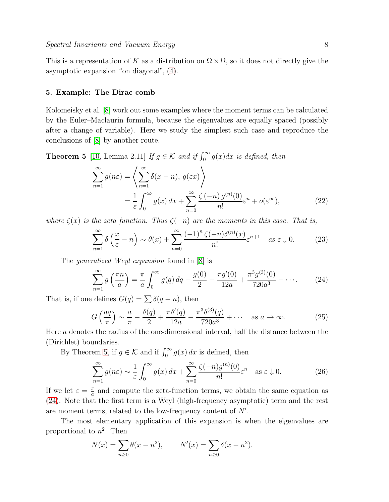This is a representation of K as a distribution on  $\Omega \times \Omega$ , so it does not directly give the asymptotic expansion "on diagonal", [\(4\)](#page-2-3).

#### 5. Example: The Dirac comb

Kolomeisky et al. [\[8\]](#page-13-7) work out some examples where the moment terms can be calculated by the Euler–Maclaurin formula, because the eigenvalues are equally spaced (possibly after a change of variable). Here we study the simplest such case and reproduce the conclusions of [\[8\]](#page-13-7) by another route.

<span id="page-7-0"></span>**Theorem 5** [\[10,](#page-13-9) Lemma 2.11] If  $g \in \mathcal{K}$  and if  $\int_0^\infty g(x)dx$  is defined, then

$$
\sum_{n=1}^{\infty} g(n\varepsilon) = \left\langle \sum_{n=1}^{\infty} \delta(x - n), g(\varepsilon x) \right\rangle
$$
  
=  $\frac{1}{\varepsilon} \int_0^{\infty} g(x) dx + \sum_{n=0}^{\infty} \frac{\zeta(-n) g^{(n)}(0)}{n!} \varepsilon^n + o(\varepsilon^{\infty}),$  (22)

where  $\zeta(x)$  is the zeta function. Thus  $\zeta(-n)$  are the moments in this case. That is,

<span id="page-7-2"></span>
$$
\sum_{n=1}^{\infty} \delta\left(\frac{x}{\varepsilon} - n\right) \sim \theta(x) + \sum_{n=0}^{\infty} \frac{(-1)^n \zeta(-n) \delta^{(n)}(x)}{n!} \varepsilon^{n+1} \quad \text{as } \varepsilon \downarrow 0. \tag{23}
$$

The generalized Weyl expansion found in [\[8\]](#page-13-7) is

<span id="page-7-1"></span>
$$
\sum_{n=1}^{\infty} g\left(\frac{\pi n}{a}\right) = \frac{\pi}{a} \int_0^{\infty} g(q) \, dq - \frac{g(0)}{2} - \frac{\pi g'(0)}{12a} + \frac{\pi^3 g^{(3)}(0)}{720a^3} - \cdots. \tag{24}
$$

That is, if one defines  $G(q) = \sum \delta(q - n)$ , then

$$
G\left(\frac{aq}{\pi}\right) \sim \frac{a}{\pi} - \frac{\delta(q)}{2} + \frac{\pi \delta'(q)}{12a} - \frac{\pi^3 \delta^{(3)}(q)}{720a^3} + \cdots \quad \text{as } a \to \infty. \tag{25}
$$

Here a denotes the radius of the one-dimensional interval, half the distance between the (Dirichlet) boundaries.

By Theorem [5,](#page-7-0) if  $g \in \mathcal{K}$  and if  $\int_0^\infty g(x) dx$  is defined, then

$$
\sum_{n=1}^{\infty} g(n\varepsilon) \sim \frac{1}{\varepsilon} \int_0^{\infty} g(x) dx + \sum_{n=0}^{\infty} \frac{\zeta(-n)g^{(n)}(0)}{n!} \varepsilon^n \quad \text{as } \varepsilon \downarrow 0. \tag{26}
$$

If we let  $\varepsilon = \frac{\pi}{a}$  $\frac{\pi}{a}$  and compute the zeta-function terms, we obtain the same equation as [\(24\)](#page-7-1). Note that the first term is a Weyl (high-frequency asymptotic) term and the rest are moment terms, related to the low-frequency content of  $N'$ .

The most elementary application of this expansion is when the eigenvalues are proportional to  $n^2$ . Then

$$
N(x) = \sum_{n\geq 0} \theta(x - n^2), \qquad N'(x) = \sum_{n\geq 0} \delta(x - n^2).
$$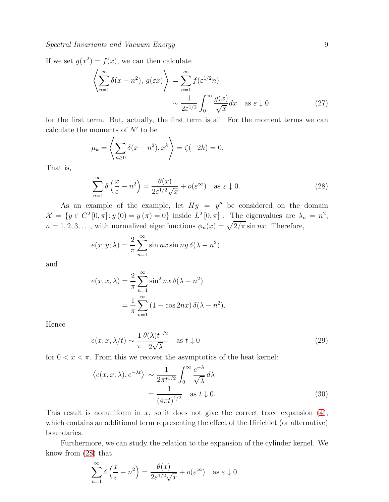# Spectral Invariants and Vacuum Energy 9

If we set  $g(x^2) = f(x)$ , we can then calculate

$$
\left\langle \sum_{n=1}^{\infty} \delta(x - n^2), g(\varepsilon x) \right\rangle = \sum_{n=1}^{\infty} f(\varepsilon^{1/2} n)
$$

$$
\sim \frac{1}{2\varepsilon^{1/2}} \int_0^{\infty} \frac{g(x)}{\sqrt{x}} dx \quad \text{as } \varepsilon \downarrow 0 \tag{27}
$$

for the first term. But, actually, the first term is all: For the moment terms we can calculate the moments of  $N'$  to be

$$
\mu_k = \left\langle \sum_{n \ge 0} \delta(x - n^2), x^k \right\rangle = \zeta(-2k) = 0.
$$

That is,

<span id="page-8-0"></span>
$$
\sum_{n=1}^{\infty} \delta\left(\frac{x}{\varepsilon} - n^2\right) = \frac{\theta(x)}{2\varepsilon^{1/2}\sqrt{x}} + o(\varepsilon^{\infty}) \quad \text{as } \varepsilon \downarrow 0. \tag{28}
$$

As an example of the example, let  $Hy = y''$  be considered on the domain  $\mathcal{X} = \{y \in C^2[0, \pi] : y(0) = y(\pi) = 0\}$  inside  $L^2[0, \pi]$ . The eigenvalues are  $\lambda_n = n^2$ ,  $n = 1, 2, 3, \ldots$ , with normalized eigenfunctions  $\phi_n(x) = \sqrt{2/\pi} \sin nx$ . Therefore,

$$
e(x, y; \lambda) = \frac{2}{\pi} \sum_{n=1}^{\infty} \sin nx \sin ny \, \delta(\lambda - n^2),
$$

and

$$
e(x, x, \lambda) = \frac{2}{\pi} \sum_{n=1}^{\infty} \sin^2 nx \, \delta(\lambda - n^2)
$$

$$
= \frac{1}{\pi} \sum_{n=1}^{\infty} (1 - \cos 2nx) \, \delta(\lambda - n^2).
$$

Hence

$$
e(x, x, \lambda/t) \sim \frac{1}{\pi} \frac{\theta(\lambda)t^{1/2}}{2\sqrt{\lambda}} \quad \text{as } t \downarrow 0
$$
 (29)

for  $0 < x < \pi$ . From this we recover the asymptotics of the heat kernel:

$$
\langle e(x, x; \lambda), e^{-\lambda t} \rangle \sim \frac{1}{2\pi t^{1/2}} \int_0^\infty \frac{e^{-\lambda}}{\sqrt{\lambda}} d\lambda
$$
  
= 
$$
\frac{1}{(4\pi t)^{1/2}} \text{ as } t \downarrow 0.
$$
 (30)

This result is nonuniform in  $x$ , so it does not give the correct trace expansion  $(4)$ , which contains an additional term representing the effect of the Dirichlet (or alternative) boundaries.

Furthermore, we can study the relation to the expansion of the cylinder kernel. We know from [\(28\)](#page-8-0) that

$$
\sum_{n=1}^{\infty} \delta\left(\frac{x}{\varepsilon} - n^2\right) = \frac{\theta(x)}{2\varepsilon^{1/2}\sqrt{x}} + o(\varepsilon^{\infty}) \quad \text{as } \varepsilon \downarrow 0.
$$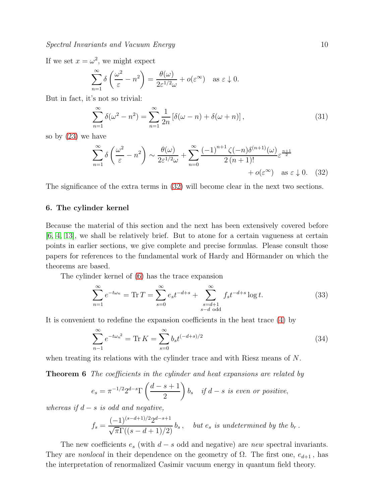If we set  $x = \omega^2$ , we might expect

$$
\sum_{n=1}^{\infty} \delta\left(\frac{\omega^2}{\varepsilon} - n^2\right) = \frac{\theta(\omega)}{2\varepsilon^{1/2}\omega} + o(\varepsilon^{\infty}) \quad \text{as } \varepsilon \downarrow 0.
$$

But in fact, it's not so trivial:

$$
\sum_{n=1}^{\infty} \delta(\omega^2 - n^2) = \sum_{n=1}^{\infty} \frac{1}{2n} \left[ \delta(\omega - n) + \delta(\omega + n) \right],\tag{31}
$$

so by [\(23\)](#page-7-2) we have

<span id="page-9-2"></span>
$$
\sum_{n=1}^{\infty} \delta\left(\frac{\omega^2}{\varepsilon} - n^2\right) \sim \frac{\theta(\omega)}{2\varepsilon^{1/2}\omega} + \sum_{n=0}^{\infty} \frac{(-1)^{n+1} \zeta(-n) \delta^{(n+1)}(\omega)}{2(n+1)!} \varepsilon^{\frac{n+1}{2}} + o(\varepsilon^{\infty}) \quad \text{as } \varepsilon \downarrow 0. \tag{32}
$$

<span id="page-9-1"></span>The significance of the extra terms in [\(32\)](#page-9-2) will become clear in the next two sections.

#### 6. The cylinder kernel

Because the material of this section and the next has been extensively covered before [\[6,](#page-13-5) [4,](#page-13-3) [13\]](#page-13-12), we shall be relatively brief. But to atone for a certain vagueness at certain points in earlier sections, we give complete and precise formulas. Please consult those papers for references to the fundamental work of Hardy and Hörmander on which the theorems are based.

The cylinder kernel of [\(6\)](#page-2-2) has the trace expansion

<span id="page-9-0"></span>
$$
\sum_{n=1}^{\infty} e^{-t\omega_n} = \text{Tr}\,T = \sum_{s=0}^{\infty} e_s t^{-d+s} + \sum_{\substack{s=d+1\\s-d \text{ odd}}}^{\infty} f_s t^{-d+s} \log t.
$$
 (33)

It is convenient to redefine the expansion coefficients in the heat trace [\(4\)](#page-2-3) by

$$
\sum_{n=1}^{\infty} e^{-t\omega_n^2} = \text{Tr}\,K = \sum_{s=0}^{\infty} b_s t^{(-d+s)/2} \tag{34}
$$

when treating its relations with the cylinder trace and with Riesz means of N.

**Theorem 6** The coefficients in the cylinder and heat expansions are related by

$$
e_s = \pi^{-1/2} 2^{d-s} \Gamma\left(\frac{d-s+1}{2}\right) b_s \quad \text{if } d-s \text{ is even or positive},
$$

whereas if  $d - s$  is odd and negative,

$$
f_s = \frac{(-1)^{(s-d+1)/2} 2^{d-s+1}}{\sqrt{\pi} \Gamma((s-d+1)/2)} b_s, \text{ but } e_s \text{ is undetermined by the } b_r.
$$

The new coefficients  $e_s$  (with  $d - s$  odd and negative) are new spectral invariants. They are *nonlocal* in their dependence on the geometry of  $\Omega$ . The first one,  $e_{d+1}$ , has the interpretation of renormalized Casimir vacuum energy in quantum field theory.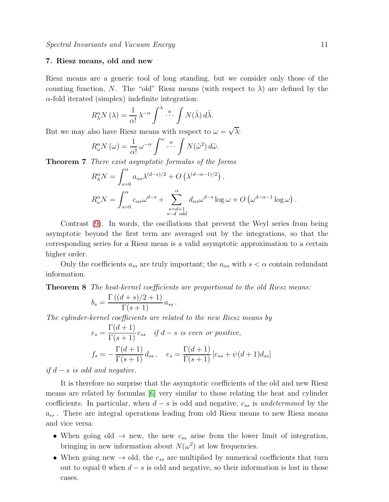# <span id="page-10-0"></span>7. Riesz means, old and new

Riesz means are a generic tool of long standing, but we consider only those of the counting function, N. The "old" Riesz means (with respect to  $\lambda$ ) are defined by the  $\alpha$ -fold iterated (simplex) indefinite integration:

$$
R^{\alpha}_{\lambda}N(\lambda) = \frac{1}{\alpha!} \lambda^{-\alpha} \int^{\lambda} \cdots \int N(\tilde{\lambda}) d\tilde{\lambda}.
$$

But we may also have Riesz means with respect to  $\omega = \sqrt{\lambda}$ :

$$
R^{\alpha}_{\omega}N(\omega) = \frac{1}{\alpha!} \omega^{-\alpha} \int^{\omega} \cdots \int N(\tilde{\omega}^2) d\tilde{\omega}.
$$

Theorem 7 There exist asymptotic formulas of the forms

$$
R^{\alpha}_{\lambda}N = \int_{s=0}^{\alpha} a_{\alpha s} \lambda^{(d-s)/2} + O\left(\lambda^{(d-\alpha-1)/2}\right),
$$
  
\n
$$
R^{\alpha}_{\omega}N = \int_{s=0}^{\alpha} c_{\alpha s} \omega^{d-s} + \sum_{\substack{s=d+1 \ s-d \text{ odd}}}^{\alpha} d_{\alpha s} \omega^{d-s} \log \omega + O\left(\omega^{d-\alpha-1} \log \omega\right).
$$

Contrast [\(9\)](#page-3-0). In words, the oscillations that prevent the Weyl series from being asymptotic beyond the first term are averaged out by the integrations, so that the corresponding series for a Riesz mean is a valid asymptotic approximation to a certain higher order.

Only the coefficients  $a_{ss}$  are truly important; the  $a_{\alpha s}$  with  $s < \alpha$  contain redundant information.

Theorem 8 The heat-kernel coefficients are proportional to the old Riesz means:

$$
b_s = \frac{\Gamma((d+s)/2+1)}{\Gamma(s+1)} a_{ss}.
$$

The cylinder-kernel coefficients are related to the new Riesz means by

$$
e_s = \frac{\Gamma(d+1)}{\Gamma(s+1)} c_{ss} \quad \text{if } d-s \text{ is even or positive},
$$
  

$$
f_s = -\frac{\Gamma(d+1)}{\Gamma(s+1)} d_{ss}, \quad e_s = \frac{\Gamma(d+1)}{\Gamma(s+1)} [e_{ss} + \psi(d+1) d_{ss}]
$$

*if*  $d − s$  *is odd and negative.* 

It is therefore no surprise that the asymptotic coefficients of the old and new Riesz means are related by formulas [\[6\]](#page-13-5) very similar to those relating the heat and cylinder coefficients. In particular, when  $d - s$  is odd and negative,  $c_{ss}$  is undetermined by the  $a_{rr}$ . There are integral operations leading from old Riesz means to new Riesz means and vice versa:

- When going old  $\rightarrow$  new, the new  $c_{ss}$  arise from the lower limit of integration, bringing in new information about  $N(\omega^2)$  at low frequencies.
- When going new  $\rightarrow$  old, the  $c_{ss}$  are multiplied by numerical coefficients that turn out to equal 0 when  $d - s$  is odd and negative, so their information is lost in those cases.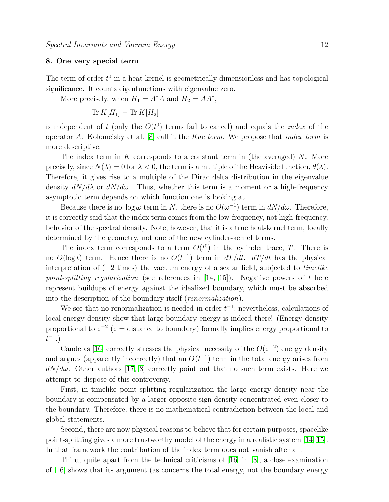# 8. One very special term

The term of order  $t^0$  in a heat kernel is geometrically dimensionless and has topological significance. It counts eigenfunctions with eigenvalue zero.

More precisely, when  $H_1 = A^*A$  and  $H_2 = AA^*$ ,

$$
\operatorname{Tr} K[H_1] - \operatorname{Tr} K[H_2]
$$

is independent of t (only the  $O(t^0)$  terms fail to cancel) and equals the *index* of the operator A. Kolomeisky et al. [\[8\]](#page-13-7) call it the Kac term. We propose that index term is more descriptive.

The index term in K corresponds to a constant term in (the averaged)  $N$ . More precisely, since  $N(\lambda) = 0$  for  $\lambda < 0$ , the term is a multiple of the Heaviside function,  $\theta(\lambda)$ . Therefore, it gives rise to a multiple of the Dirac delta distribution in the eigenvalue density  $dN/d\lambda$  or  $dN/d\omega$ . Thus, whether this term is a moment or a high-frequency asymptotic term depends on which function one is looking at.

Because there is no  $log \omega$  term in N, there is no  $O(\omega^{-1})$  term in  $dN/d\omega$ . Therefore, it is correctly said that the index term comes from the low-frequency, not high-frequency, behavior of the spectral density. Note, however, that it is a true heat-kernel term, locally determined by the geometry, not one of the new cylinder-kernel terms.

The index term corresponds to a term  $O(t^0)$  in the cylinder trace, T. There is no  $O(\log t)$  term. Hence there is no  $O(t^{-1})$  term in  $dT/dt$ .  $dT/dt$  has the physical interpretation of (−2 times) the vacuum energy of a scalar field, subjected to timelike point-splitting regularization (see references in  $[14, 15]$  $[14, 15]$ ). Negative powers of t here represent buildups of energy against the idealized boundary, which must be absorbed into the description of the boundary itself (renormalization).

We see that no renormalization is needed in order  $t^{-1}$ ; nevertheless, calculations of local energy density show that large boundary energy is indeed there! (Energy density proportional to  $z^{-2}$  ( $z =$  distance to boundary) formally implies energy proportional to  $t^{-1}$ .)

Candelas [\[16\]](#page-13-15) correctly stresses the physical necessity of the  $O(z^{-2})$  energy density and argues (apparently incorrectly) that an  $O(t^{-1})$  term in the total energy arises from  $dN/d\omega$ . Other authors [\[17,](#page-13-16) [8\]](#page-13-7) correctly point out that no such term exists. Here we attempt to dispose of this controversy.

First, in timelike point-splitting regularization the large energy density near the boundary is compensated by a larger opposite-sign density concentrated even closer to the boundary. Therefore, there is no mathematical contradiction between the local and global statements.

Second, there are now physical reasons to believe that for certain purposes, spacelike point-splitting gives a more trustworthy model of the energy in a realistic system [\[14,](#page-13-13) [15\]](#page-13-14). In that framework the contribution of the index term does not vanish after all.

Third, quite apart from the technical criticisms of [\[16\]](#page-13-15) in [\[8\]](#page-13-7), a close examination of [\[16\]](#page-13-15) shows that its argument (as concerns the total energy, not the boundary energy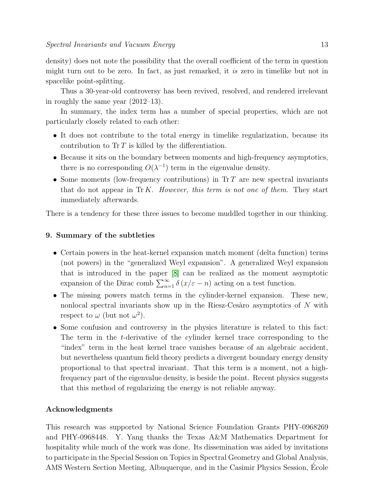density) does not note the possibility that the overall coefficient of the term in question might turn out to be zero. In fact, as just remarked, it is zero in timelike but not in spacelike point-splitting.

Thus a 30-year-old controversy has been revived, resolved, and rendered irrelevant in roughly the same year (2012–13).

In summary, the index term has a number of special properties, which are not particularly closely related to each other:

- It does not contribute to the total energy in timelike regularization, because its contribution to  $\text{Tr } T$  is killed by the differentiation.
- Because it sits on the boundary between moments and high-frequency asymptotics, there is no corresponding  $O(\lambda^{-1})$  term in the eigenvalue density.
- Some moments (low-frequency contributions) in  $Tr T$  are new spectral invariants that do not appear in  $\text{Tr } K$ . However, this term is not one of them. They start immediately afterwards.

There is a tendency for these three issues to become muddled together in our thinking.

# 9. Summary of the subtleties

- Certain powers in the heat-kernel expansion match moment (delta function) terms (not powers) in the "generalized Weyl expansion". A generalized Weyl expansion that is introduced in the paper [\[8\]](#page-13-7) can be realized as the moment asymptotic expansion of the Dirac comb  $\sum_{n=1}^{\infty} \delta(x/\varepsilon - n)$  acting on a test function.
- The missing powers match terms in the cylinder-kernel expansion. These new, nonlocal spectral invariants show up in the Riesz-Cesaro asymptotics of  $N$  with respect to  $\omega$  (but not  $\omega^2$ ).
- Some confusion and controversy in the physics literature is related to this fact: The term in the t-derivative of the cylinder kernel trace corresponding to the "index" term in the heat kernel trace vanishes because of an algebraic accident, but nevertheless quantum field theory predicts a divergent boundary energy density proportional to that spectral invariant. That this term is a moment, not a highfrequency part of the eigenvalue density, is beside the point. Recent physics suggests that this method of regularizing the energy is not reliable anyway.

## Acknowledgments

This research was supported by National Science Foundation Grants PHY-0968269 and PHY-0968448. Y. Yang thanks the Texas A&M Mathematics Department for hospitality while much of the work was done. Its dissemination was aided by invitations to participate in the Special Session on Topics in Spectral Geometry and Global Analysis, AMS Western Section Meeting, Albuquerque, and in the Casimir Physics Session, Ecole ´